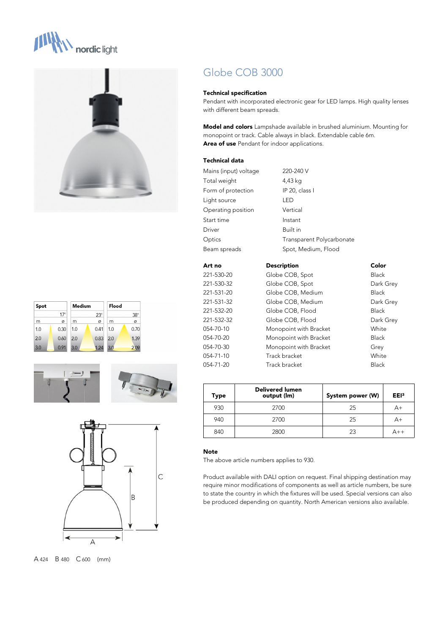











A 424 B 480 C 600 (mm)

# Globe COB 3000

## **Technical specification**

Pendant with incorporated electronic gear for LED lamps. High quality lenses with different beam spreads.

**Model and colors** Lampshade available in brushed aluminium. Mounting for monopoint or track. Cable always in black. Extendable cable 6m. **Area of use** Pendant for indoor applications.

## **Technical data**

| Mains (input) voltage | 220-240 V                 |              |
|-----------------------|---------------------------|--------------|
| Total weight          | 4,43 kg                   |              |
| Form of protection    | IP 20, class I            |              |
| Light source          | LED                       |              |
| Operating position    | Vertical                  |              |
| Start time            | Instant                   |              |
| <b>Driver</b>         | Built in                  |              |
| Optics                | Transparent Polycarbonate |              |
| Beam spreads          | Spot, Medium, Flood       |              |
| Art no                | <b>Description</b>        | Color        |
| 221-530-20            | Globe COB, Spot           | <b>Black</b> |
| 221-530-32            | Globe COB, Spot           | Dark Grey    |
| 221-531-20            | Globe COB, Medium         | <b>Black</b> |
| 221-531-32            | Globe COB, Medium         | Dark Grey    |
| 221-532-20            | Globe COB, Flood          | <b>Black</b> |
| 221-532-32            | Globe COB, Flood          | Dark Grey    |
| 054-70-10             | Monopoint with Bracket    | White        |
| 054-70-20             | Monopoint with Bracket    | <b>Black</b> |

054-70-30 Monopoint with Bracket Grey 054-71-10 Track bracket White 054-71-20 Track bracket Black

| Type | <b>Delivered lumen</b><br>output (lm) | System power (W) | EE <sub>13</sub> |
|------|---------------------------------------|------------------|------------------|
| 930  | 2700                                  | 25               | $A+$             |
| 940  | 2700                                  | 25               | A+               |
| 840  | 2800                                  | 23               | A++              |

## **Note**

The above article numbers applies to 930.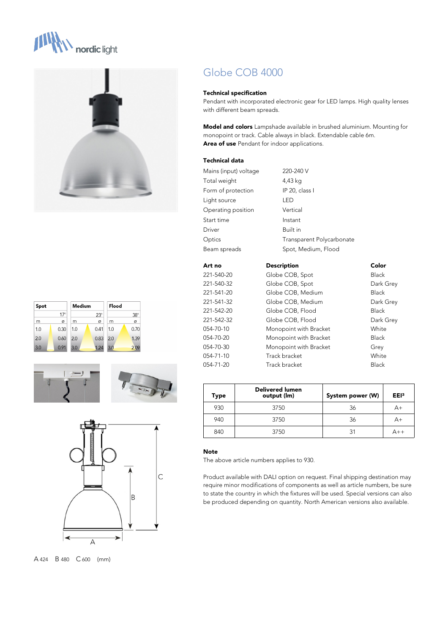











A 424 B 480 C 600 (mm)

# Globe COB 4000

## **Technical specification**

Pendant with incorporated electronic gear for LED lamps. High quality lenses with different beam spreads.

**Model and colors** Lampshade available in brushed aluminium. Mounting for monopoint or track. Cable always in black. Extendable cable 6m. **Area of use** Pendant for indoor applications.

## **Technical data**

| Mains (input) voltage | 220-240 V                 |              |
|-----------------------|---------------------------|--------------|
| Total weight          | 4,43 kg                   |              |
| Form of protection    | IP 20, class I            |              |
| Light source          | LED                       |              |
| Operating position    | Vertical                  |              |
| Start time            | Instant                   |              |
| Driver                | Built in                  |              |
| Optics                | Transparent Polycarbonate |              |
| Beam spreads          | Spot, Medium, Flood       |              |
| Art no                | <b>Description</b>        | Color        |
| 221-540-20            | Globe COB, Spot           | <b>Black</b> |
| 221-540-32            | Globe COB, Spot           | Dark Grey    |
| 221-541-20            | Globe COB, Medium         | <b>Black</b> |
| 221-541-32            | Globe COB, Medium         | Dark Grey    |
| 221-542-20            | Globe COB, Flood          | <b>Black</b> |
| 221-542-32            | Globe COB, Flood          | Dark Grey    |
| 054-70-10             | Monopoint with Bracket    | White        |
| 054-70-20             | Monopoint with Bracket    | <b>Black</b> |

054-70-30 Monopoint with Bracket Grey 054-71-10 Track bracket White 054-71-20 Track bracket Black

| Type | <b>Delivered lumen</b><br>output (lm) | System power (W) | EE <sub>13</sub> |
|------|---------------------------------------|------------------|------------------|
| 930  | 3750                                  | 36               | A+               |
| 940  | 3750                                  | 36               | A+               |
| 840  | 3750                                  | 31               | $\Delta$ ++      |

## **Note**

The above article numbers applies to 930.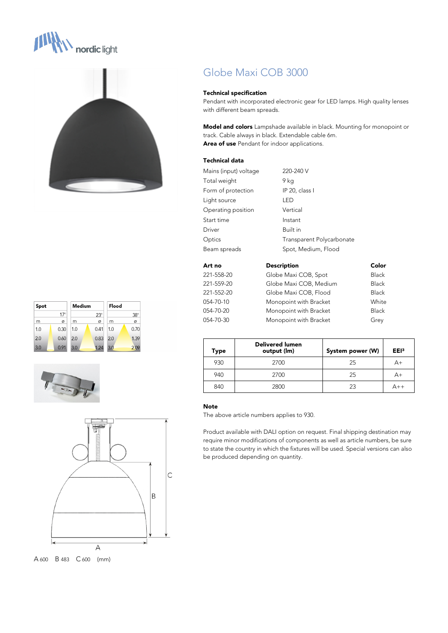



| Spot |            | Medium |            | Flood |            |
|------|------------|--------|------------|-------|------------|
|      | $17^\circ$ |        | $23^\circ$ |       | $38^\circ$ |
| m    | ø          | m      | Ø          | m     | ø          |
| 1.0  | 0.30       | 1.0    | 0.41       | 1.0   | 0.70       |
| 2.0  | 0.60       | 2.0    | 0.83       | 2.0   | 1.39       |
| 3.0  | 0.91       | 3.0    | 1.24       | 3.0   | 2.09       |





A 600 B 483 C 600 (mm)

# Globe Maxi COB 3000

#### **Technical specification**

Pendant with incorporated electronic gear for LED lamps. High quality lenses with different beam spreads.

**Model and colors** Lampshade available in black. Mounting for monopoint or track. Cable always in black. Extendable cable 6m. **Area of use** Pendant for indoor applications.

## **Technical data**

| Mains (input) voltage | 220-240 V                 |       |
|-----------------------|---------------------------|-------|
| Total weight          | 9 kg                      |       |
| Form of protection    | IP 20, class I            |       |
| Light source          | LED                       |       |
| Operating position    | Vertical                  |       |
| Start time            | Instant                   |       |
| Driver                | Built in                  |       |
| Optics                | Transparent Polycarbonate |       |
| Beam spreads          | Spot, Medium, Flood       |       |
| Art no                | <b>Description</b>        | Color |
| 221-558-20            | Globe Maxi COB, Spot      | Black |
| 221-559-20            | Globe Maxi COB, Medium    | Black |
| 221-552-20            | Globe Maxi COB, Flood     | Black |
| 054-70-10             | Monopoint with Bracket    | White |

054-70-20 Monopoint with Bracket Black 054-70-30 Monopoint with Bracket Grey

| Type | <b>Delivered lumen</b><br>output (Im) | System power (W) | EE <sub>13</sub> |
|------|---------------------------------------|------------------|------------------|
| 930  | 2700                                  | 25               | A+               |
| 940  | 2700                                  | 25               | A+               |
| 840  | 2800                                  | 23               |                  |

#### **Note**

The above article numbers applies to 930.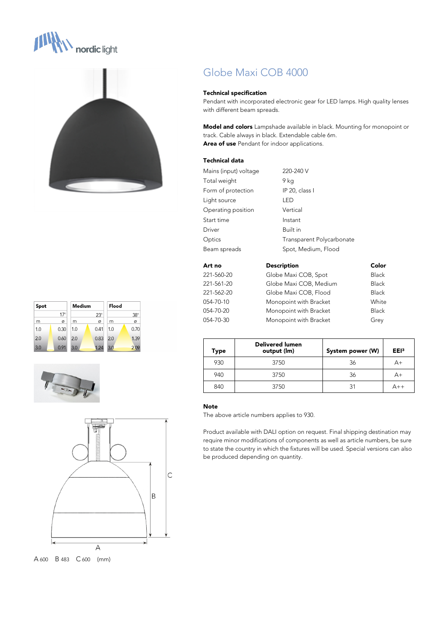



| Spot |            | Medium |            | Flood |            |
|------|------------|--------|------------|-------|------------|
|      | $17^\circ$ |        | $23^\circ$ |       | $38^\circ$ |
| m    | ø          | m      | Ø          | m     | ø          |
| 1.0  | 0.30       | 1.0    | 0.41       | 1.0   | 0.70       |
| 2.0  | 0.60       | 2.0    | 0.83       | 2.0   | 1.39       |
| 3.0  | 0.91       | 3.0    | 1.24       | 3.0   | 2.09       |





A 600 B 483 C 600 (mm)

# Globe Maxi COB 4000

#### **Technical specification**

Pendant with incorporated electronic gear for LED lamps. High quality lenses with different beam spreads.

**Model and colors** Lampshade available in black. Mounting for monopoint or track. Cable always in black. Extendable cable 6m. **Area of use** Pendant for indoor applications.

# **Technical data**

| Mains (input) voltage | 220-240 V                 |              |
|-----------------------|---------------------------|--------------|
| Total weight          | 9 ka                      |              |
| Form of protection    | IP 20, class I            |              |
| Light source          | LED                       |              |
| Operating position    | Vertical                  |              |
| Start time            | Instant                   |              |
| Driver                | Built in                  |              |
| Optics                | Transparent Polycarbonate |              |
| Beam spreads          | Spot, Medium, Flood       |              |
| Art no                | <b>Description</b>        | Color        |
| 221-560-20            | Globe Maxi COB, Spot      | <b>Black</b> |
| 221-561-20            | Globe Maxi COB, Medium    | <b>Black</b> |
| 221-562-20            | Globe Maxi COB, Flood     | <b>Black</b> |

054-70-10 Monopoint with Bracket White 054-70-20 Monopoint with Bracket Black 054-70-30 Monopoint with Bracket Grey

| Type | <b>Delivered lumen</b><br>output (Im) | System power (W) | EE <sub>13</sub> |
|------|---------------------------------------|------------------|------------------|
| 930  | 3750                                  | 36               | $A+$             |
| 940  | 3750                                  | 36               | $A+$             |
| 840  | 3750                                  | 31               |                  |

#### **Note**

The above article numbers applies to 930.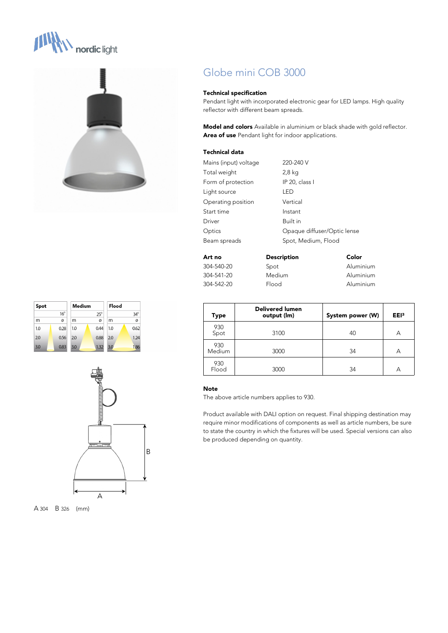









# Globe mini COB 3000

## **Technical specification**

Pendant light with incorporated electronic gear for LED lamps. High quality reflector with different beam spreads.

**Model and colors** Available in aluminium or black shade with gold reflector. **Area of use** Pendant light for indoor applications.

# **Technical data**

| Mains (input) voltage | 220-240 V                   |
|-----------------------|-----------------------------|
| Total weight          | 2,8 kg                      |
| Form of protection    | IP 20, class I              |
| Light source          | I FD                        |
| Operating position    | Vertical                    |
| Start time            | Instant                     |
| Driver                | Built in                    |
| Optics                | Opaque diffuser/Optic lense |
| Beam spreads          | Spot, Medium, Flood         |
|                       |                             |

| Art no     | <b>Description</b> | Color     |
|------------|--------------------|-----------|
| 304-540-20 | Spot               | Aluminium |
| 304-541-20 | <b>Medium</b>      | Aluminium |
| 304-542-20 | Flood              | Aluminium |

| Type          | <b>Delivered lumen</b><br>output (lm) | System power (W) | EE <sub>13</sub> |
|---------------|---------------------------------------|------------------|------------------|
| 930<br>Spot   | 3100                                  | 40               | А                |
| 930<br>Medium | 3000                                  | 34               | А                |
| 930<br>Flood  | 3000                                  | 34               | А                |

## **Note**

The above article numbers applies to 930.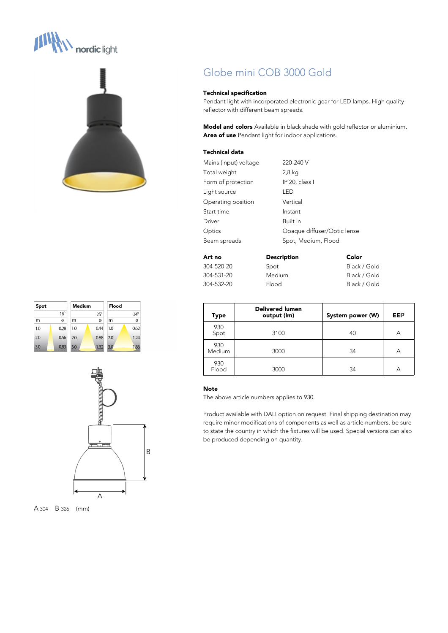# **N** nordic light









# Globe mini COB 3000 Gold

## **Technical specification**

Pendant light with incorporated electronic gear for LED lamps. High quality reflector with different beam spreads.

**Model and colors** Available in black shade with gold reflector or aluminium. **Area of use** Pendant light for indoor applications.

# **Technical data**

| Mains (input) voltage | 220-240 V                   |
|-----------------------|-----------------------------|
| Total weight          | 2,8 kg                      |
| Form of protection    | IP 20, class I              |
| Light source          | I FD                        |
| Operating position    | Vertical                    |
| Start time            | Instant                     |
| Driver                | Built in                    |
| Optics                | Opaque diffuser/Optic lense |
| Beam spreads          | Spot, Medium, Flood         |
|                       |                             |

| Art no     | <b>Description</b> | Color        |
|------------|--------------------|--------------|
| 304-520-20 | Spot               | Black / Gold |
| 304-531-20 | <b>Medium</b>      | Black / Gold |
| 304-532-20 | Flood              | Black / Gold |

| <b>Type</b>   | <b>Delivered lumen</b><br>output (lm) | System power (W) | EE <sub>13</sub> |
|---------------|---------------------------------------|------------------|------------------|
| 930<br>Spot   | 3100                                  | 40               | А                |
| 930<br>Medium | 3000                                  | 34               | А                |
| 930<br>Flood  | 3000                                  | 34               | А                |

# **Note**

The above article numbers applies to 930.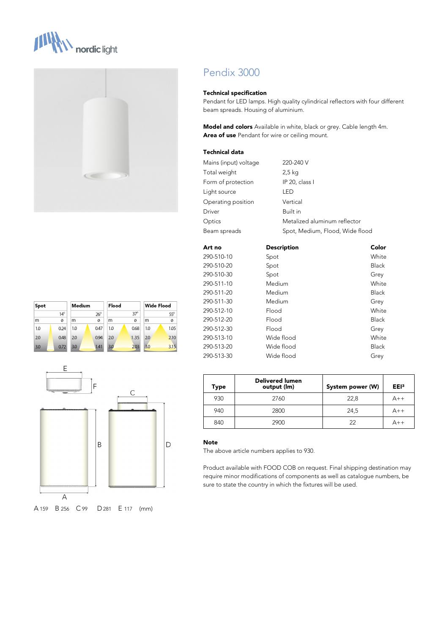







# Pendix 3000

#### **Technical specification**

Pendant for LED lamps. High quality cylindrical reflectors with four different beam spreads. Housing of aluminium.

**Model and colors** Available in white, black or grey. Cable length 4m. **Area of use** Pendant for wire or ceiling mount.

# **Technical data**

| Mains (input) voltage | 220-240 V                       |
|-----------------------|---------------------------------|
| Total weight          | 2,5 kg                          |
| Form of protection    | IP 20, class I                  |
| Light source          | I FD                            |
| Operating position    | Vertical                        |
| Driver                | Built in                        |
| Optics                | Metalized aluminum reflector    |
| Beam spreads          | Spot, Medium, Flood, Wide flood |
|                       |                                 |

| Art no     | <b>Description</b> | Color        |
|------------|--------------------|--------------|
| 290-510-10 | Spot               | White        |
| 290-510-20 | Spot               | <b>Black</b> |
| 290-510-30 | Spot               | Grey         |
| 290-511-10 | Medium             | White        |
| 290-511-20 | Medium             | <b>Black</b> |
| 290-511-30 | Medium             | Grey         |
| 290-512-10 | Flood              | White        |
| 290-512-20 | Flood              | <b>Black</b> |
| 290-512-30 | Flood              | Grey         |
| 290-513-10 | Wide flood         | White        |
| 290-513-20 | Wide flood         | <b>Black</b> |
| 290-513-30 | Wide flood         | Grey         |
|            |                    |              |

| Type | <b>Delivered lumen</b><br>output (lm) | System power (W) | EE <sub>13</sub> |
|------|---------------------------------------|------------------|------------------|
| 930  | 2760                                  | 22,8             | $A++$            |
| 940  | 2800                                  | 24,5             | $A++$            |
| 840  | 2900                                  | 22               | $A++$            |

# **Note**

The above article numbers applies to 930.

Product available with FOOD COB on request. Final shipping destination may require minor modifications of components as well as catalogue numbers, be sure to state the country in which the fixtures will be used.